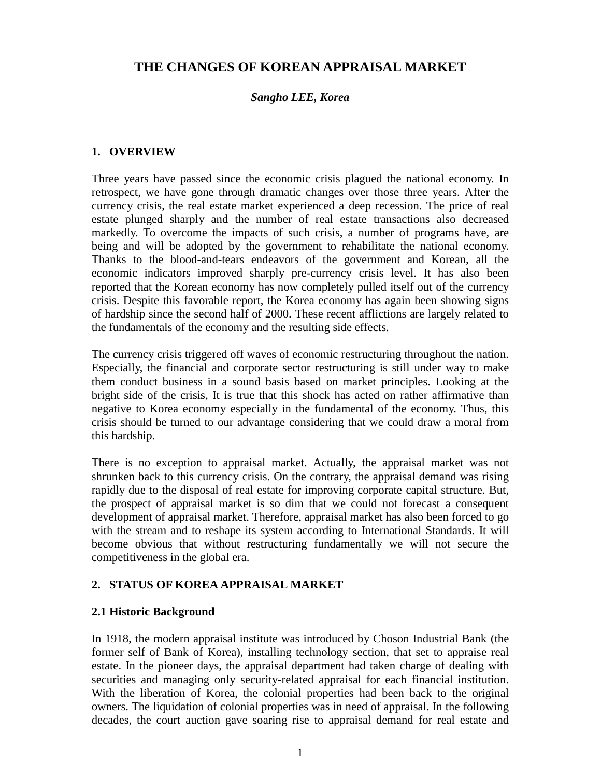# **THE CHANGES OF KOREAN APPRAISAL MARKET**

## *Sangho LEE, Korea*

## **1. OVERVIEW**

Three years have passed since the economic crisis plagued the national economy. In retrospect, we have gone through dramatic changes over those three years. After the currency crisis, the real estate market experienced a deep recession. The price of real estate plunged sharply and the number of real estate transactions also decreased markedly. To overcome the impacts of such crisis, a number of programs have, are being and will be adopted by the government to rehabilitate the national economy. Thanks to the blood-and-tears endeavors of the government and Korean, all the economic indicators improved sharply pre-currency crisis level. It has also been reported that the Korean economy has now completely pulled itself out of the currency crisis. Despite this favorable report, the Korea economy has again been showing signs of hardship since the second half of 2000. These recent afflictions are largely related to the fundamentals of the economy and the resulting side effects.

The currency crisis triggered off waves of economic restructuring throughout the nation. Especially, the financial and corporate sector restructuring is still under way to make them conduct business in a sound basis based on market principles. Looking at the bright side of the crisis, It is true that this shock has acted on rather affirmative than negative to Korea economy especially in the fundamental of the economy. Thus, this crisis should be turned to our advantage considering that we could draw a moral from this hardship.

There is no exception to appraisal market. Actually, the appraisal market was not shrunken back to this currency crisis. On the contrary, the appraisal demand was rising rapidly due to the disposal of real estate for improving corporate capital structure. But, the prospect of appraisal market is so dim that we could not forecast a consequent development of appraisal market. Therefore, appraisal market has also been forced to go with the stream and to reshape its system according to International Standards. It will become obvious that without restructuring fundamentally we will not secure the competitiveness in the global era.

## **2. STATUS OF KOREA APPRAISAL MARKET**

#### **2.1 Historic Background**

In 1918, the modern appraisal institute was introduced by Choson Industrial Bank (the former self of Bank of Korea), installing technology section, that set to appraise real estate. In the pioneer days, the appraisal department had taken charge of dealing with securities and managing only security-related appraisal for each financial institution. With the liberation of Korea, the colonial properties had been back to the original owners. The liquidation of colonial properties was in need of appraisal. In the following decades, the court auction gave soaring rise to appraisal demand for real estate and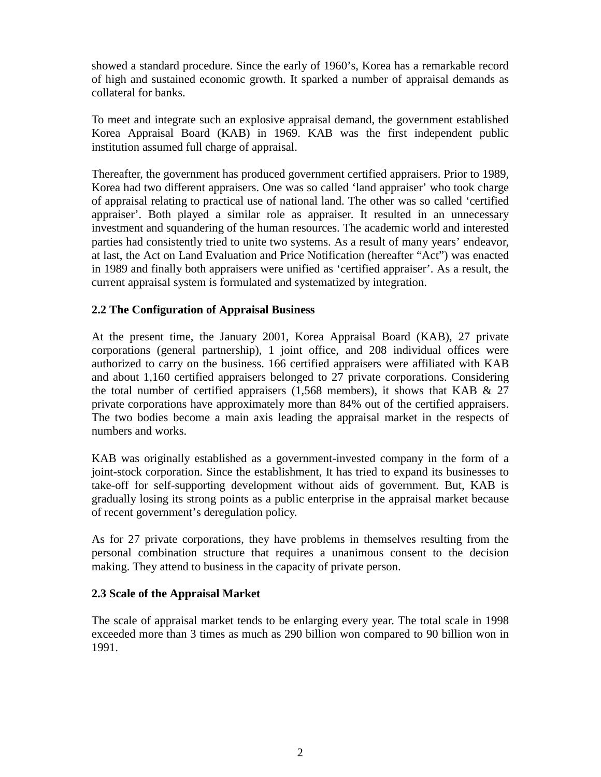showed a standard procedure. Since the early of 1960's, Korea has a remarkable record of high and sustained economic growth. It sparked a number of appraisal demands as collateral for banks.

To meet and integrate such an explosive appraisal demand, the government established Korea Appraisal Board (KAB) in 1969. KAB was the first independent public institution assumed full charge of appraisal.

Thereafter, the government has produced government certified appraisers. Prior to 1989, Korea had two different appraisers. One was so called 'land appraiser' who took charge of appraisal relating to practical use of national land. The other was so called 'certified appraiser'. Both played a similar role as appraiser. It resulted in an unnecessary investment and squandering of the human resources. The academic world and interested parties had consistently tried to unite two systems. As a result of many years' endeavor, at last, the Act on Land Evaluation and Price Notification (hereafter "Act") was enacted in 1989 and finally both appraisers were unified as 'certified appraiser'. As a result, the current appraisal system is formulated and systematized by integration.

# **2.2 The Configuration of Appraisal Business**

At the present time, the January 2001, Korea Appraisal Board (KAB), 27 private corporations (general partnership), 1 joint office, and 208 individual offices were authorized to carry on the business. 166 certified appraisers were affiliated with KAB and about 1,160 certified appraisers belonged to 27 private corporations. Considering the total number of certified appraisers  $(1,568$  members), it shows that KAB & 27 private corporations have approximately more than 84% out of the certified appraisers. The two bodies become a main axis leading the appraisal market in the respects of numbers and works.

KAB was originally established as a government-invested company in the form of a joint-stock corporation. Since the establishment, It has tried to expand its businesses to take-off for self-supporting development without aids of government. But, KAB is gradually losing its strong points as a public enterprise in the appraisal market because of recent government's deregulation policy.

As for 27 private corporations, they have problems in themselves resulting from the personal combination structure that requires a unanimous consent to the decision making. They attend to business in the capacity of private person.

## **2.3 Scale of the Appraisal Market**

The scale of appraisal market tends to be enlarging every year. The total scale in 1998 exceeded more than 3 times as much as 290 billion won compared to 90 billion won in 1991.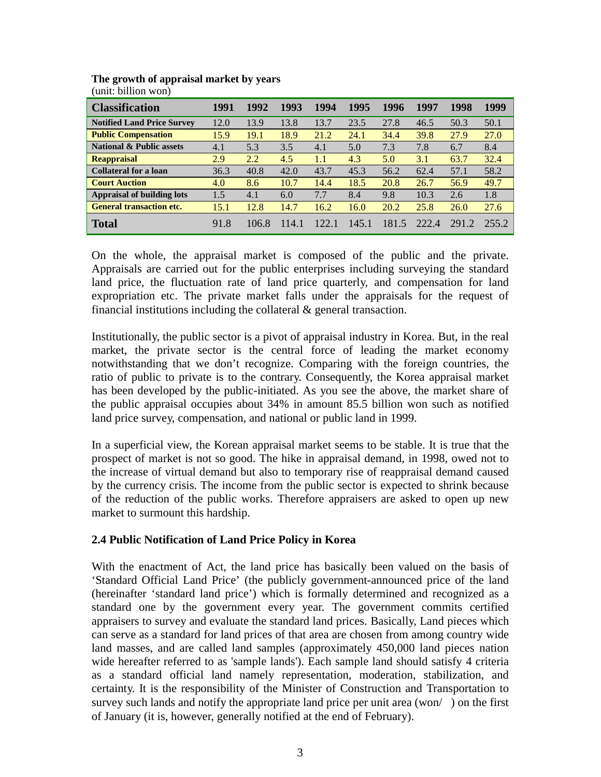| <b>Classification</b>               | 1991 | 1992  | 1993 | 1994  | 1995 | 1996  | 1997  | 1998  | 1999 |
|-------------------------------------|------|-------|------|-------|------|-------|-------|-------|------|
| <b>Notified Land Price Survey</b>   | 12.0 | 13.9  | 13.8 | 13.7  | 23.5 | 27.8  | 46.5  | 50.3  | 50.1 |
| <b>Public Compensation</b>          | 15.9 | 19.1  | 18.9 | 21.2  | 24.1 | 34.4  | 39.8  | 27.9  | 27.0 |
| <b>National &amp; Public assets</b> | 4.1  | 5.3   | 3.5  | 4.1   | 5.0  | 7.3   | 7.8   | 6.7   | 8.4  |
| <b>Reappraisal</b>                  | 2.9  | 2.2   | 4.5  | 1.1   | 4.3  | 5.0   | 3.1   | 63.7  | 32.4 |
| Collateral for a loan               | 36.3 | 40.8  | 42.0 | 43.7  | 45.3 | 56.2  | 62.4  | 57.1  | 58.2 |
| <b>Court Auction</b>                | 4.0  | 8.6   | 10.7 | 14.4  | 18.5 | 20.8  | 26.7  | 56.9  | 49.7 |
| <b>Appraisal of building lots</b>   | 1.5  | 4.1   | 6.0  | 7.7   | 8.4  | 9.8   | 10.3  | 2.6   | 1.8  |
| <b>General transaction etc.</b>     | 15.1 | 12.8  | 14.7 | 16.2  | 16.0 | 20.2  | 25.8  | 26.0  | 27.6 |
| <b>Total</b>                        | 91.8 | 106.8 | 1141 | 122.1 | 1451 | 181.5 | 222.4 | 291.2 |      |

#### **The growth of appraisal market by years** (unit: billion won)

On the whole, the appraisal market is composed of the public and the private. Appraisals are carried out for the public enterprises including surveying the standard land price, the fluctuation rate of land price quarterly, and compensation for land expropriation etc. The private market falls under the appraisals for the request of financial institutions including the collateral  $\&$  general transaction.

Institutionally, the public sector is a pivot of appraisal industry in Korea. But, in the real market, the private sector is the central force of leading the market economy notwithstanding that we don't recognize. Comparing with the foreign countries, the ratio of public to private is to the contrary. Consequently, the Korea appraisal market has been developed by the public-initiated. As you see the above, the market share of the public appraisal occupies about 34% in amount 85.5 billion won such as notified land price survey, compensation, and national or public land in 1999.

In a superficial view, the Korean appraisal market seems to be stable. It is true that the prospect of market is not so good. The hike in appraisal demand, in 1998, owed not to the increase of virtual demand but also to temporary rise of reappraisal demand caused by the currency crisis. The income from the public sector is expected to shrink because of the reduction of the public works. Therefore appraisers are asked to open up new market to surmount this hardship.

# **2.4 Public Notification of Land Price Policy in Korea**

With the enactment of Act, the land price has basically been valued on the basis of 'Standard Official Land Price' (the publicly government-announced price of the land (hereinafter 'standard land price') which is formally determined and recognized as a standard one by the government every year. The government commits certified appraisers to survey and evaluate the standard land prices. Basically, Land pieces which can serve as a standard for land prices of that area are chosen from among country wide land masses, and are called land samples (approximately 450,000 land pieces nation wide hereafter referred to as 'sample lands'). Each sample land should satisfy 4 criteria as a standard official land namely representation, moderation, stabilization, and certainty. It is the responsibility of the Minister of Construction and Transportation to survey such lands and notify the appropriate land price per unit area (won/ ) on the first of January (it is, however, generally notified at the end of February).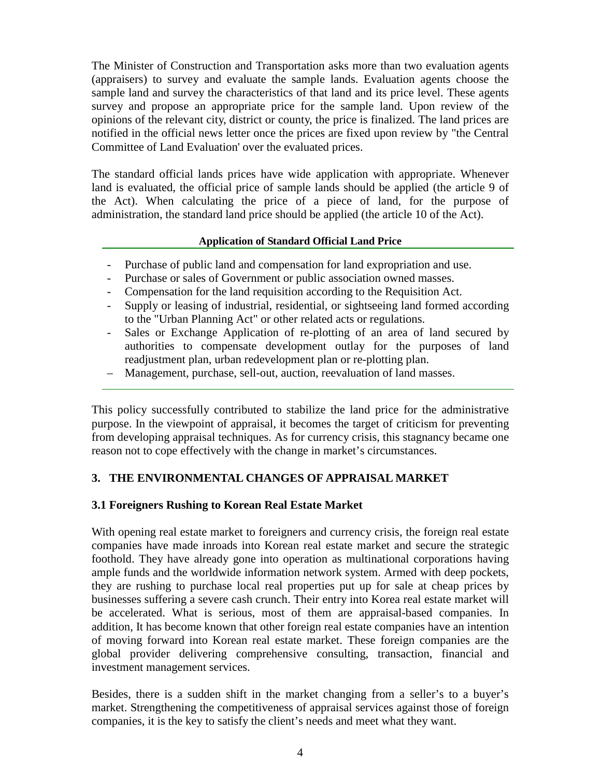The Minister of Construction and Transportation asks more than two evaluation agents (appraisers) to survey and evaluate the sample lands. Evaluation agents choose the sample land and survey the characteristics of that land and its price level. These agents survey and propose an appropriate price for the sample land. Upon review of the opinions of the relevant city, district or county, the price is finalized. The land prices are notified in the official news letter once the prices are fixed upon review by "the Central Committee of Land Evaluation' over the evaluated prices.

The standard official lands prices have wide application with appropriate. Whenever land is evaluated, the official price of sample lands should be applied (the article 9 of the Act). When calculating the price of a piece of land, for the purpose of administration, the standard land price should be applied (the article 10 of the Act).

## **Application of Standard Official Land Price**

- Purchase of public land and compensation for land expropriation and use.
- Purchase or sales of Government or public association owned masses.
- Compensation for the land requisition according to the Requisition Act.
- Supply or leasing of industrial, residential, or sightseeing land formed according to the "Urban Planning Act" or other related acts or regulations.
- Sales or Exchange Application of re-plotting of an area of land secured by authorities to compensate development outlay for the purposes of land readjustment plan, urban redevelopment plan or re-plotting plan.
- Management, purchase, sell-out, auction, reevaluation of land masses.

This policy successfully contributed to stabilize the land price for the administrative purpose. In the viewpoint of appraisal, it becomes the target of criticism for preventing from developing appraisal techniques. As for currency crisis, this stagnancy became one reason not to cope effectively with the change in market's circumstances.

# **3. THE ENVIRONMENTAL CHANGES OF APPRAISAL MARKET**

# **3.1 Foreigners Rushing to Korean Real Estate Market**

With opening real estate market to foreigners and currency crisis, the foreign real estate companies have made inroads into Korean real estate market and secure the strategic foothold. They have already gone into operation as multinational corporations having ample funds and the worldwide information network system. Armed with deep pockets, they are rushing to purchase local real properties put up for sale at cheap prices by businesses suffering a severe cash crunch. Their entry into Korea real estate market will be accelerated. What is serious, most of them are appraisal-based companies. In addition, It has become known that other foreign real estate companies have an intention of moving forward into Korean real estate market. These foreign companies are the global provider delivering comprehensive consulting, transaction, financial and investment management services.

Besides, there is a sudden shift in the market changing from a seller's to a buyer's market. Strengthening the competitiveness of appraisal services against those of foreign companies, it is the key to satisfy the client's needs and meet what they want.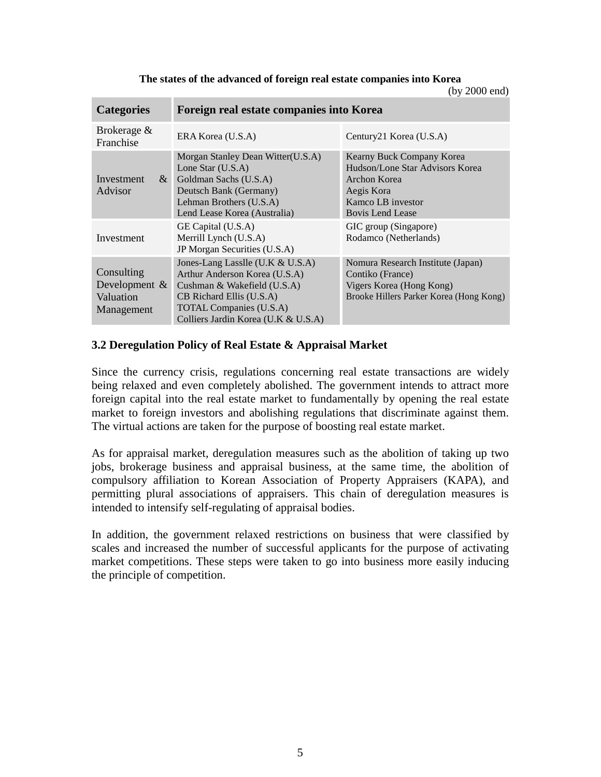**The states of the advanced of foreign real estate companies into Korea**

(by 2000 end)

| <b>Categories</b>                                         | Foreign real estate companies into Korea                                                                                                                                                              |                                                                                                                                            |  |  |  |
|-----------------------------------------------------------|-------------------------------------------------------------------------------------------------------------------------------------------------------------------------------------------------------|--------------------------------------------------------------------------------------------------------------------------------------------|--|--|--|
| Brokerage &<br>Franchise                                  | ERA Korea (U.S.A)                                                                                                                                                                                     | Century21 Korea (U.S.A)                                                                                                                    |  |  |  |
| $\&$<br>Investment<br>Advisor                             | Morgan Stanley Dean Witter(U.S.A)<br>Lone Star $(U.S.A)$<br>Goldman Sachs (U.S.A)<br>Deutsch Bank (Germany)<br>Lehman Brothers (U.S.A)<br>Lend Lease Korea (Australia)                                | Kearny Buck Company Korea<br>Hudson/Lone Star Advisors Korea<br>Archon Korea<br>Aegis Kora<br>Kamco LB investor<br><b>Bovis Lend Lease</b> |  |  |  |
| Investment                                                | GE Capital (U.S.A)<br>Merrill Lynch (U.S.A)<br>JP Morgan Securities (U.S.A)                                                                                                                           | GIC group (Singapore)<br>Rodamco (Netherlands)                                                                                             |  |  |  |
| Consulting<br>Development $\&$<br>Valuation<br>Management | Jones-Lang Lasslle (U.K & U.S.A)<br>Arthur Anderson Korea (U.S.A)<br>Cushman & Wakefield (U.S.A)<br>CB Richard Ellis (U.S.A)<br><b>TOTAL Companies (U.S.A)</b><br>Colliers Jardin Korea (U.K & U.S.A) | Nomura Research Institute (Japan)<br>Contiko (France)<br>Vigers Korea (Hong Kong)<br>Brooke Hillers Parker Korea (Hong Kong)               |  |  |  |

## **3.2 Deregulation Policy of Real Estate & Appraisal Market**

Since the currency crisis, regulations concerning real estate transactions are widely being relaxed and even completely abolished. The government intends to attract more foreign capital into the real estate market to fundamentally by opening the real estate market to foreign investors and abolishing regulations that discriminate against them. The virtual actions are taken for the purpose of boosting real estate market.

As for appraisal market, deregulation measures such as the abolition of taking up two jobs, brokerage business and appraisal business, at the same time, the abolition of compulsory affiliation to Korean Association of Property Appraisers (KAPA), and permitting plural associations of appraisers. This chain of deregulation measures is intended to intensify self-regulating of appraisal bodies.

In addition, the government relaxed restrictions on business that were classified by scales and increased the number of successful applicants for the purpose of activating market competitions. These steps were taken to go into business more easily inducing the principle of competition.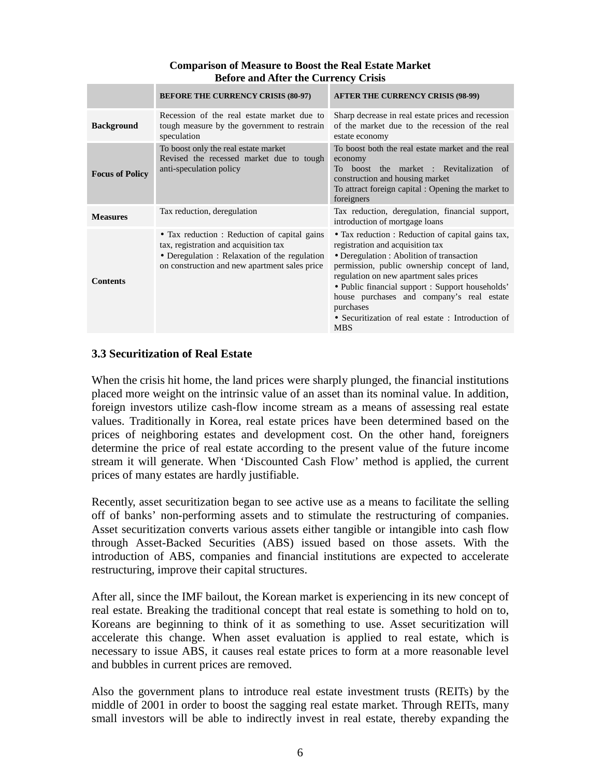## **Comparison of Measure to Boost the Real Estate Market Before and After the Currency Crisis**

|                        | <b>BEFORE THE CURRENCY CRISIS (80-97)</b>                                                                                                                                               | <b>AFTER THE CURRENCY CRISIS (98-99)</b>                                                                                                                                                                                                                                                                                                                                                                        |
|------------------------|-----------------------------------------------------------------------------------------------------------------------------------------------------------------------------------------|-----------------------------------------------------------------------------------------------------------------------------------------------------------------------------------------------------------------------------------------------------------------------------------------------------------------------------------------------------------------------------------------------------------------|
| <b>Background</b>      | Recession of the real estate market due to<br>tough measure by the government to restrain<br>speculation                                                                                | Sharp decrease in real estate prices and recession<br>of the market due to the recession of the real<br>estate economy                                                                                                                                                                                                                                                                                          |
| <b>Focus of Policy</b> | To boost only the real estate market<br>Revised the recessed market due to tough<br>anti-speculation policy                                                                             | To boost both the real estate market and the real<br>economy<br>boost the market : Revitalization of<br>To<br>construction and housing market<br>To attract foreign capital : Opening the market to<br>foreigners                                                                                                                                                                                               |
| <b>Measures</b>        | Tax reduction, deregulation                                                                                                                                                             | Tax reduction, deregulation, financial support,<br>introduction of mortgage loans                                                                                                                                                                                                                                                                                                                               |
| <b>Contents</b>        | • Tax reduction : Reduction of capital gains<br>tax, registration and acquisition tax<br>• Deregulation : Relaxation of the regulation<br>on construction and new apartment sales price | • Tax reduction : Reduction of capital gains tax,<br>registration and acquisition tax<br>• Deregulation : Abolition of transaction<br>permission, public ownership concept of land,<br>regulation on new apartment sales prices<br>• Public financial support : Support households'<br>house purchases and company's real estate<br>purchases<br>• Securitization of real estate: Introduction of<br><b>MBS</b> |

## **3.3 Securitization of Real Estate**

When the crisis hit home, the land prices were sharply plunged, the financial institutions placed more weight on the intrinsic value of an asset than its nominal value. In addition, foreign investors utilize cash-flow income stream as a means of assessing real estate values. Traditionally in Korea, real estate prices have been determined based on the prices of neighboring estates and development cost. On the other hand, foreigners determine the price of real estate according to the present value of the future income stream it will generate. When 'Discounted Cash Flow' method is applied, the current prices of many estates are hardly justifiable.

Recently, asset securitization began to see active use as a means to facilitate the selling off of banks' non-performing assets and to stimulate the restructuring of companies. Asset securitization converts various assets either tangible or intangible into cash flow through Asset-Backed Securities (ABS) issued based on those assets. With the introduction of ABS, companies and financial institutions are expected to accelerate restructuring, improve their capital structures.

After all, since the IMF bailout, the Korean market is experiencing in its new concept of real estate. Breaking the traditional concept that real estate is something to hold on to, Koreans are beginning to think of it as something to use. Asset securitization will accelerate this change. When asset evaluation is applied to real estate, which is necessary to issue ABS, it causes real estate prices to form at a more reasonable level and bubbles in current prices are removed.

Also the government plans to introduce real estate investment trusts (REITs) by the middle of 2001 in order to boost the sagging real estate market. Through REITs, many small investors will be able to indirectly invest in real estate, thereby expanding the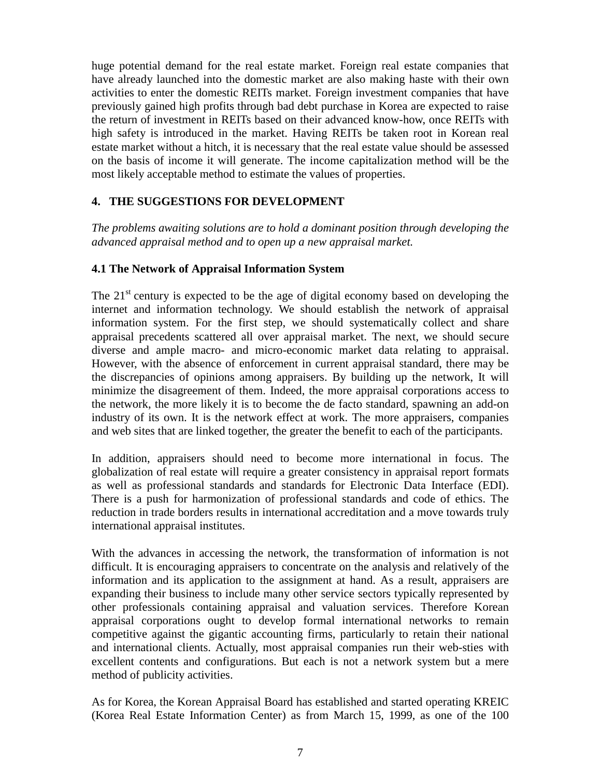huge potential demand for the real estate market. Foreign real estate companies that have already launched into the domestic market are also making haste with their own activities to enter the domestic REITs market. Foreign investment companies that have previously gained high profits through bad debt purchase in Korea are expected to raise the return of investment in REITs based on their advanced know-how, once REITs with high safety is introduced in the market. Having REITs be taken root in Korean real estate market without a hitch, it is necessary that the real estate value should be assessed on the basis of income it will generate. The income capitalization method will be the most likely acceptable method to estimate the values of properties.

# **4. THE SUGGESTIONS FOR DEVELOPMENT**

*The problems awaiting solutions are to hold a dominant position through developing the advanced appraisal method and to open up a new appraisal market.*

# **4.1 The Network of Appraisal Information System**

The  $21<sup>st</sup>$  century is expected to be the age of digital economy based on developing the internet and information technology. We should establish the network of appraisal information system. For the first step, we should systematically collect and share appraisal precedents scattered all over appraisal market. The next, we should secure diverse and ample macro- and micro-economic market data relating to appraisal. However, with the absence of enforcement in current appraisal standard, there may be the discrepancies of opinions among appraisers. By building up the network, It will minimize the disagreement of them. Indeed, the more appraisal corporations access to the network, the more likely it is to become the de facto standard, spawning an add-on industry of its own. It is the network effect at work. The more appraisers, companies and web sites that are linked together, the greater the benefit to each of the participants.

In addition, appraisers should need to become more international in focus. The globalization of real estate will require a greater consistency in appraisal report formats as well as professional standards and standards for Electronic Data Interface (EDI). There is a push for harmonization of professional standards and code of ethics. The reduction in trade borders results in international accreditation and a move towards truly international appraisal institutes.

With the advances in accessing the network, the transformation of information is not difficult. It is encouraging appraisers to concentrate on the analysis and relatively of the information and its application to the assignment at hand. As a result, appraisers are expanding their business to include many other service sectors typically represented by other professionals containing appraisal and valuation services. Therefore Korean appraisal corporations ought to develop formal international networks to remain competitive against the gigantic accounting firms, particularly to retain their national and international clients. Actually, most appraisal companies run their web-sties with excellent contents and configurations. But each is not a network system but a mere method of publicity activities.

As for Korea, the Korean Appraisal Board has established and started operating KREIC (Korea Real Estate Information Center) as from March 15, 1999, as one of the 100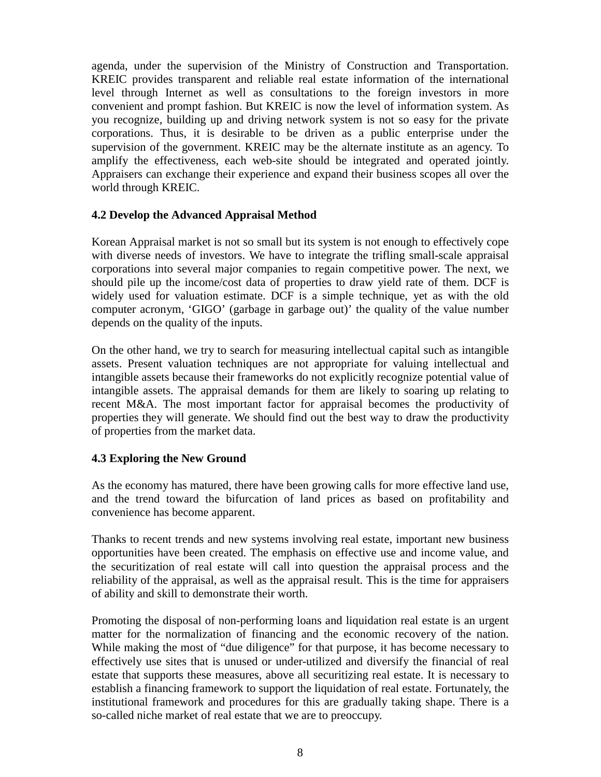agenda, under the supervision of the Ministry of Construction and Transportation. KREIC provides transparent and reliable real estate information of the international level through Internet as well as consultations to the foreign investors in more convenient and prompt fashion. But KREIC is now the level of information system. As you recognize, building up and driving network system is not so easy for the private corporations. Thus, it is desirable to be driven as a public enterprise under the supervision of the government. KREIC may be the alternate institute as an agency. To amplify the effectiveness, each web-site should be integrated and operated jointly. Appraisers can exchange their experience and expand their business scopes all over the world through KREIC.

## **4.2 Develop the Advanced Appraisal Method**

Korean Appraisal market is not so small but its system is not enough to effectively cope with diverse needs of investors. We have to integrate the trifling small-scale appraisal corporations into several major companies to regain competitive power. The next, we should pile up the income/cost data of properties to draw yield rate of them. DCF is widely used for valuation estimate. DCF is a simple technique, yet as with the old computer acronym, 'GIGO' (garbage in garbage out)' the quality of the value number depends on the quality of the inputs.

On the other hand, we try to search for measuring intellectual capital such as intangible assets. Present valuation techniques are not appropriate for valuing intellectual and intangible assets because their frameworks do not explicitly recognize potential value of intangible assets. The appraisal demands for them are likely to soaring up relating to recent M&A. The most important factor for appraisal becomes the productivity of properties they will generate. We should find out the best way to draw the productivity of properties from the market data.

# **4.3 Exploring the New Ground**

As the economy has matured, there have been growing calls for more effective land use, and the trend toward the bifurcation of land prices as based on profitability and convenience has become apparent.

Thanks to recent trends and new systems involving real estate, important new business opportunities have been created. The emphasis on effective use and income value, and the securitization of real estate will call into question the appraisal process and the reliability of the appraisal, as well as the appraisal result. This is the time for appraisers of ability and skill to demonstrate their worth.

Promoting the disposal of non-performing loans and liquidation real estate is an urgent matter for the normalization of financing and the economic recovery of the nation. While making the most of "due diligence" for that purpose, it has become necessary to effectively use sites that is unused or under-utilized and diversify the financial of real estate that supports these measures, above all securitizing real estate. It is necessary to establish a financing framework to support the liquidation of real estate. Fortunately, the institutional framework and procedures for this are gradually taking shape. There is a so-called niche market of real estate that we are to preoccupy.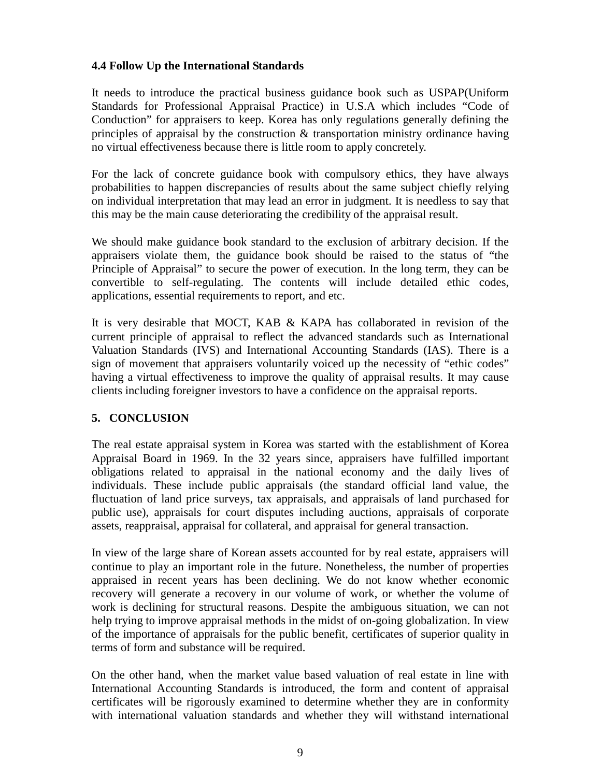## **4.4 Follow Up the International Standards**

It needs to introduce the practical business guidance book such as USPAP(Uniform Standards for Professional Appraisal Practice) in U.S.A which includes "Code of Conduction" for appraisers to keep. Korea has only regulations generally defining the principles of appraisal by the construction  $\&$  transportation ministry ordinance having no virtual effectiveness because there is little room to apply concretely.

For the lack of concrete guidance book with compulsory ethics, they have always probabilities to happen discrepancies of results about the same subject chiefly relying on individual interpretation that may lead an error in judgment. It is needless to say that this may be the main cause deteriorating the credibility of the appraisal result.

We should make guidance book standard to the exclusion of arbitrary decision. If the appraisers violate them, the guidance book should be raised to the status of "the Principle of Appraisal" to secure the power of execution. In the long term, they can be convertible to self-regulating. The contents will include detailed ethic codes, applications, essential requirements to report, and etc.

It is very desirable that MOCT, KAB & KAPA has collaborated in revision of the current principle of appraisal to reflect the advanced standards such as International Valuation Standards (IVS) and International Accounting Standards (IAS). There is a sign of movement that appraisers voluntarily voiced up the necessity of "ethic codes" having a virtual effectiveness to improve the quality of appraisal results. It may cause clients including foreigner investors to have a confidence on the appraisal reports.

# **5. CONCLUSION**

The real estate appraisal system in Korea was started with the establishment of Korea Appraisal Board in 1969. In the 32 years since, appraisers have fulfilled important obligations related to appraisal in the national economy and the daily lives of individuals. These include public appraisals (the standard official land value, the fluctuation of land price surveys, tax appraisals, and appraisals of land purchased for public use), appraisals for court disputes including auctions, appraisals of corporate assets, reappraisal, appraisal for collateral, and appraisal for general transaction.

In view of the large share of Korean assets accounted for by real estate, appraisers will continue to play an important role in the future. Nonetheless, the number of properties appraised in recent years has been declining. We do not know whether economic recovery will generate a recovery in our volume of work, or whether the volume of work is declining for structural reasons. Despite the ambiguous situation, we can not help trying to improve appraisal methods in the midst of on-going globalization. In view of the importance of appraisals for the public benefit, certificates of superior quality in terms of form and substance will be required.

On the other hand, when the market value based valuation of real estate in line with International Accounting Standards is introduced, the form and content of appraisal certificates will be rigorously examined to determine whether they are in conformity with international valuation standards and whether they will withstand international